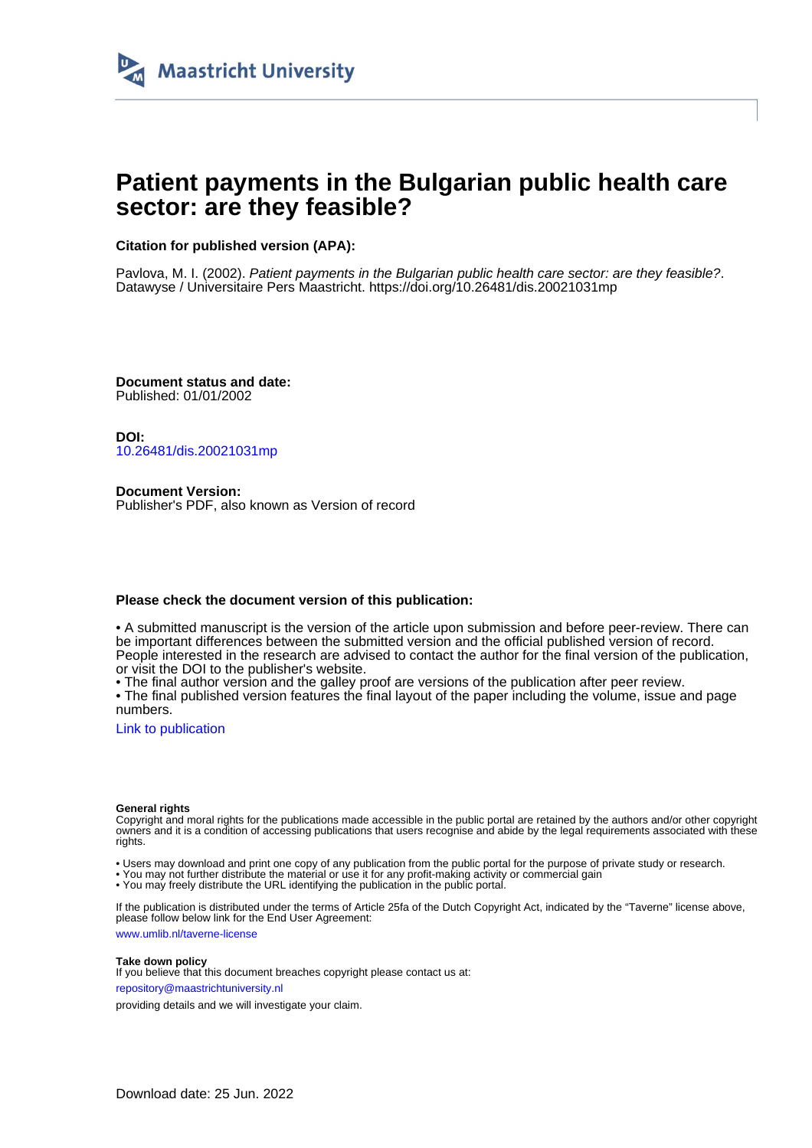

# **Patient payments in the Bulgarian public health care sector: are they feasible?**

## **Citation for published version (APA):**

Pavlova, M. I. (2002). Patient payments in the Bulgarian public health care sector: are they feasible?. Datawyse / Universitaire Pers Maastricht. <https://doi.org/10.26481/dis.20021031mp>

**Document status and date:** Published: 01/01/2002

**DOI:** [10.26481/dis.20021031mp](https://doi.org/10.26481/dis.20021031mp)

**Document Version:** Publisher's PDF, also known as Version of record

### **Please check the document version of this publication:**

• A submitted manuscript is the version of the article upon submission and before peer-review. There can be important differences between the submitted version and the official published version of record. People interested in the research are advised to contact the author for the final version of the publication, or visit the DOI to the publisher's website.

• The final author version and the galley proof are versions of the publication after peer review.

• The final published version features the final layout of the paper including the volume, issue and page numbers.

[Link to publication](https://cris.maastrichtuniversity.nl/en/publications/5ac4525f-d73e-40a7-8bee-b2fd9d3f3978)

#### **General rights**

Copyright and moral rights for the publications made accessible in the public portal are retained by the authors and/or other copyright owners and it is a condition of accessing publications that users recognise and abide by the legal requirements associated with these rights.

• Users may download and print one copy of any publication from the public portal for the purpose of private study or research.

• You may not further distribute the material or use it for any profit-making activity or commercial gain

• You may freely distribute the URL identifying the publication in the public portal.

If the publication is distributed under the terms of Article 25fa of the Dutch Copyright Act, indicated by the "Taverne" license above, please follow below link for the End User Agreement:

www.umlib.nl/taverne-license

#### **Take down policy**

If you believe that this document breaches copyright please contact us at: repository@maastrichtuniversity.nl

providing details and we will investigate your claim.